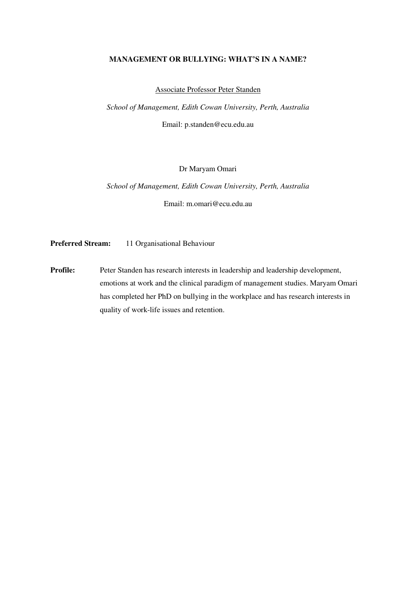# **MANAGEMENT OR BULLYING: WHAT'S IN A NAME?**

Associate Professor Peter Standen

*School of Management, Edith Cowan University, Perth, Australia* 

Email: p.standen@ecu.edu.au

## Dr Maryam Omari

*School of Management, Edith Cowan University, Perth, Australia* 

Email: m.omari@ecu.edu.au

**Preferred Stream:** 11 Organisational Behaviour

**Profile:** Peter Standen has research interests in leadership and leadership development, emotions at work and the clinical paradigm of management studies. Maryam Omari has completed her PhD on bullying in the workplace and has research interests in quality of work-life issues and retention.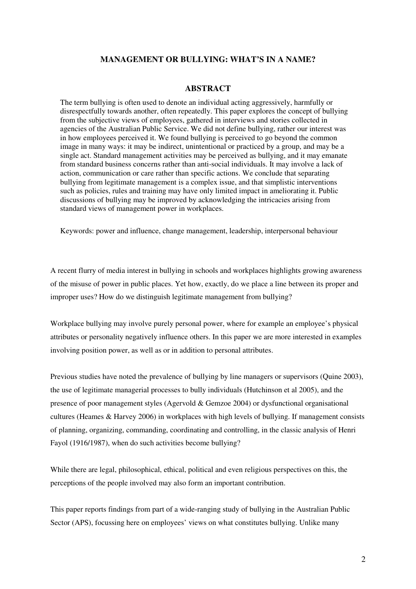# **MANAGEMENT OR BULLYING: WHAT'S IN A NAME?**

#### **ABSTRACT**

The term bullying is often used to denote an individual acting aggressively, harmfully or disrespectfully towards another, often repeatedly. This paper explores the concept of bullying from the subjective views of employees, gathered in interviews and stories collected in agencies of the Australian Public Service. We did not define bullying, rather our interest was in how employees perceived it. We found bullying is perceived to go beyond the common image in many ways: it may be indirect, unintentional or practiced by a group, and may be a single act. Standard management activities may be perceived as bullying, and it may emanate from standard business concerns rather than anti-social individuals. It may involve a lack of action, communication or care rather than specific actions. We conclude that separating bullying from legitimate management is a complex issue, and that simplistic interventions such as policies, rules and training may have only limited impact in ameliorating it. Public discussions of bullying may be improved by acknowledging the intricacies arising from standard views of management power in workplaces.

Keywords: power and influence, change management, leadership, interpersonal behaviour

A recent flurry of media interest in bullying in schools and workplaces highlights growing awareness of the misuse of power in public places. Yet how, exactly, do we place a line between its proper and improper uses? How do we distinguish legitimate management from bullying?

Workplace bullying may involve purely personal power, where for example an employee's physical attributes or personality negatively influence others. In this paper we are more interested in examples involving position power, as well as or in addition to personal attributes.

Previous studies have noted the prevalence of bullying by line managers or supervisors (Quine 2003), the use of legitimate managerial processes to bully individuals (Hutchinson et al 2005), and the presence of poor management styles (Agervold & Gemzoe 2004) or dysfunctional organisational cultures (Heames & Harvey 2006) in workplaces with high levels of bullying. If management consists of planning, organizing, commanding, coordinating and controlling, in the classic analysis of Henri Fayol (1916/1987), when do such activities become bullying?

While there are legal, philosophical, ethical, political and even religious perspectives on this, the perceptions of the people involved may also form an important contribution.

This paper reports findings from part of a wide-ranging study of bullying in the Australian Public Sector (APS), focussing here on employees' views on what constitutes bullying. Unlike many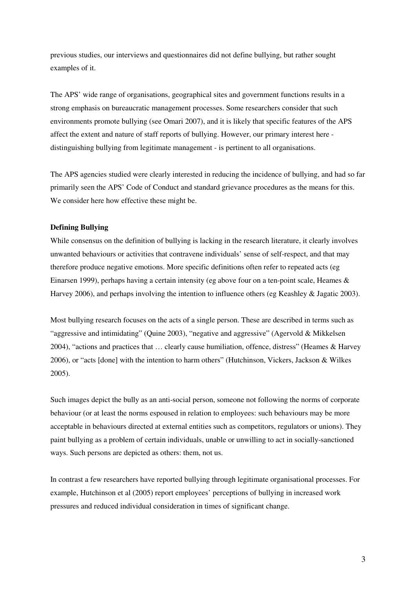previous studies, our interviews and questionnaires did not define bullying, but rather sought examples of it.

The APS' wide range of organisations, geographical sites and government functions results in a strong emphasis on bureaucratic management processes. Some researchers consider that such environments promote bullying (see Omari 2007), and it is likely that specific features of the APS affect the extent and nature of staff reports of bullying. However, our primary interest here distinguishing bullying from legitimate management - is pertinent to all organisations.

The APS agencies studied were clearly interested in reducing the incidence of bullying, and had so far primarily seen the APS' Code of Conduct and standard grievance procedures as the means for this. We consider here how effective these might be.

## **Defining Bullying**

While consensus on the definition of bullying is lacking in the research literature, it clearly involves unwanted behaviours or activities that contravene individuals' sense of self-respect, and that may therefore produce negative emotions. More specific definitions often refer to repeated acts (eg Einarsen 1999), perhaps having a certain intensity (eg above four on a ten-point scale, Heames & Harvey 2006), and perhaps involving the intention to influence others (eg Keashley & Jagatic 2003).

Most bullying research focuses on the acts of a single person. These are described in terms such as "aggressive and intimidating" (Quine 2003), "negative and aggressive" (Agervold & Mikkelsen 2004), "actions and practices that … clearly cause humiliation, offence, distress" (Heames & Harvey 2006), or "acts [done] with the intention to harm others" (Hutchinson, Vickers, Jackson & Wilkes 2005).

Such images depict the bully as an anti-social person, someone not following the norms of corporate behaviour (or at least the norms espoused in relation to employees: such behaviours may be more acceptable in behaviours directed at external entities such as competitors, regulators or unions). They paint bullying as a problem of certain individuals, unable or unwilling to act in socially-sanctioned ways. Such persons are depicted as others: them, not us.

In contrast a few researchers have reported bullying through legitimate organisational processes. For example, Hutchinson et al (2005) report employees' perceptions of bullying in increased work pressures and reduced individual consideration in times of significant change.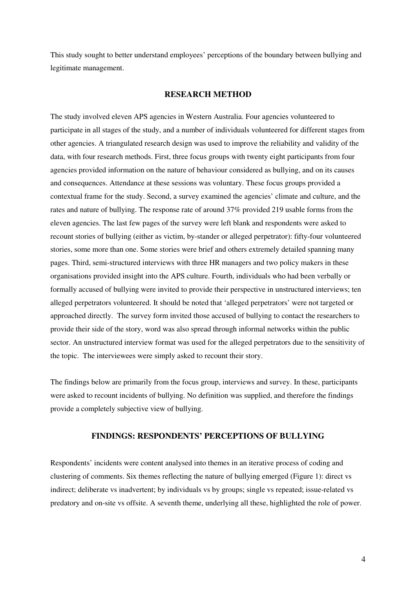This study sought to better understand employees' perceptions of the boundary between bullying and legitimate management.

### **RESEARCH METHOD**

The study involved eleven APS agencies in Western Australia. Four agencies volunteered to participate in all stages of the study, and a number of individuals volunteered for different stages from other agencies. A triangulated research design was used to improve the reliability and validity of the data, with four research methods. First, three focus groups with twenty eight participants from four agencies provided information on the nature of behaviour considered as bullying, and on its causes and consequences. Attendance at these sessions was voluntary. These focus groups provided a contextual frame for the study. Second, a survey examined the agencies' climate and culture, and the rates and nature of bullying. The response rate of around 37% provided 219 usable forms from the eleven agencies. The last few pages of the survey were left blank and respondents were asked to recount stories of bullying (either as victim, by-stander or alleged perpetrator): fifty-four volunteered stories, some more than one. Some stories were brief and others extremely detailed spanning many pages. Third, semi-structured interviews with three HR managers and two policy makers in these organisations provided insight into the APS culture. Fourth, individuals who had been verbally or formally accused of bullying were invited to provide their perspective in unstructured interviews; ten alleged perpetrators volunteered. It should be noted that 'alleged perpetrators' were not targeted or approached directly. The survey form invited those accused of bullying to contact the researchers to provide their side of the story, word was also spread through informal networks within the public sector. An unstructured interview format was used for the alleged perpetrators due to the sensitivity of the topic. The interviewees were simply asked to recount their story.

The findings below are primarily from the focus group, interviews and survey. In these, participants were asked to recount incidents of bullying. No definition was supplied, and therefore the findings provide a completely subjective view of bullying.

# **FINDINGS: RESPONDENTS' PERCEPTIONS OF BULLYING**

Respondents' incidents were content analysed into themes in an iterative process of coding and clustering of comments. Six themes reflecting the nature of bullying emerged (Figure 1): direct vs indirect; deliberate vs inadvertent; by individuals vs by groups; single vs repeated; issue-related vs predatory and on-site vs offsite. A seventh theme, underlying all these, highlighted the role of power.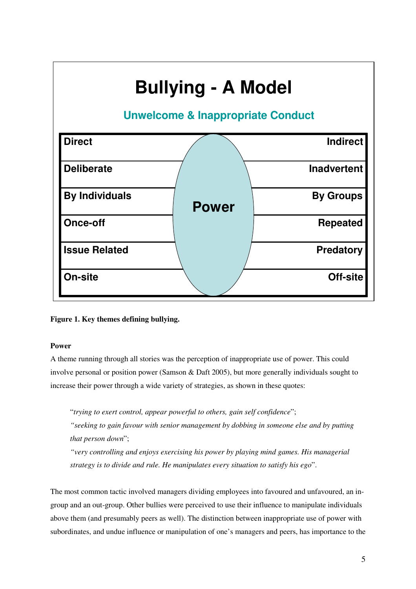

**Figure 1. Key themes defining bullying.** 

## **Power**

A theme running through all stories was the perception of inappropriate use of power. This could involve personal or position power (Samson & Daft 2005), but more generally individuals sought to increase their power through a wide variety of strategies, as shown in these quotes:

"*trying to exert control, appear powerful to others, gain self confidence*";

*"seeking to gain favour with senior management by dobbing in someone else and by putting that person down*";

*"very controlling and enjoys exercising his power by playing mind games. His managerial strategy is to divide and rule. He manipulates every situation to satisfy his ego*".

The most common tactic involved managers dividing employees into favoured and unfavoured, an ingroup and an out-group. Other bullies were perceived to use their influence to manipulate individuals above them (and presumably peers as well). The distinction between inappropriate use of power with subordinates, and undue influence or manipulation of one's managers and peers, has importance to the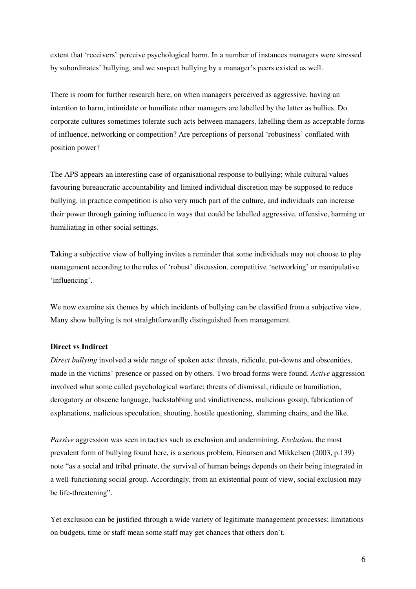extent that 'receivers' perceive psychological harm. In a number of instances managers were stressed by subordinates' bullying, and we suspect bullying by a manager's peers existed as well.

There is room for further research here, on when managers perceived as aggressive, having an intention to harm, intimidate or humiliate other managers are labelled by the latter as bullies. Do corporate cultures sometimes tolerate such acts between managers, labelling them as acceptable forms of influence, networking or competition? Are perceptions of personal 'robustness' conflated with position power?

The APS appears an interesting case of organisational response to bullying; while cultural values favouring bureaucratic accountability and limited individual discretion may be supposed to reduce bullying, in practice competition is also very much part of the culture, and individuals can increase their power through gaining influence in ways that could be labelled aggressive, offensive, harming or humiliating in other social settings.

Taking a subjective view of bullying invites a reminder that some individuals may not choose to play management according to the rules of 'robust' discussion, competitive 'networking' or manipulative 'influencing'.

We now examine six themes by which incidents of bullying can be classified from a subjective view. Many show bullying is not straightforwardly distinguished from management.

#### **Direct vs Indirect**

*Direct bullying* involved a wide range of spoken acts: threats, ridicule, put-downs and obscenities, made in the victims' presence or passed on by others. Two broad forms were found. *Active* aggression involved what some called psychological warfare; threats of dismissal, ridicule or humiliation, derogatory or obscene language, backstabbing and vindictiveness, malicious gossip, fabrication of explanations, malicious speculation, shouting, hostile questioning, slamming chairs, and the like.

*Passive* aggression was seen in tactics such as exclusion and undermining. *Exclusion*, the most prevalent form of bullying found here, is a serious problem, Einarsen and Mikkelsen (2003, p.139) note "as a social and tribal primate, the survival of human beings depends on their being integrated in a well-functioning social group. Accordingly, from an existential point of view, social exclusion may be life-threatening".

Yet exclusion can be justified through a wide variety of legitimate management processes; limitations on budgets, time or staff mean some staff may get chances that others don't.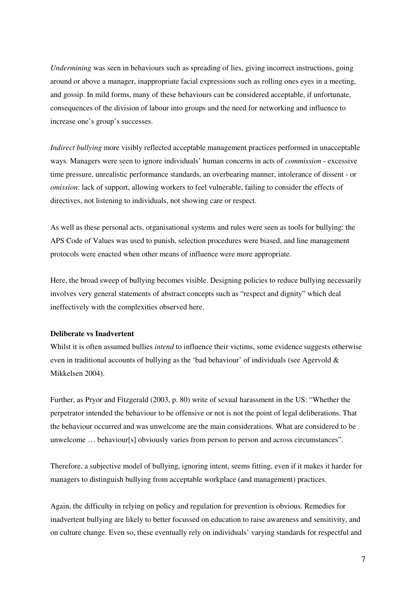*Undermining* was seen in behaviours such as spreading of lies, giving incorrect instructions, going around or above a manager, inappropriate facial expressions such as rolling ones eyes in a meeting, and gossip. In mild forms, many of these behaviours can be considered acceptable, if unfortunate, consequences of the division of labour into groups and the need for networking and influence to increase one's group's successes.

*Indirect bullying* more visibly reflected acceptable management practices performed in unacceptable ways. Managers were seen to ignore individuals' human concerns in acts of *commission* - excessive time pressure, unrealistic performance standards, an overbearing manner, intolerance of dissent - or *omission*: lack of support, allowing workers to feel vulnerable, failing to consider the effects of directives, not listening to individuals, not showing care or respect.

As well as these personal acts, organisational systems and rules were seen as tools for bullying: the APS Code of Values was used to punish, selection procedures were biased, and line management protocols were enacted when other means of influence were more appropriate.

Here, the broad sweep of bullying becomes visible. Designing policies to reduce bullying necessarily involves very general statements of abstract concepts such as "respect and dignity" which deal ineffectively with the complexities observed here.

# **Deliberate vs Inadvertent**

Whilst it is often assumed bullies *intend* to influence their victims, some evidence suggests otherwise even in traditional accounts of bullying as the 'bad behaviour' of individuals (see Agervold  $\&$ Mikkelsen 2004).

Further, as Pryor and Fitzgerald (2003, p. 80) write of sexual harassment in the US: "Whether the perpetrator intended the behaviour to be offensive or not is not the point of legal deliberations. That the behaviour occurred and was unwelcome are the main considerations. What are considered to be unwelcome … behaviour[s] obviously varies from person to person and across circumstances".

Therefore, a subjective model of bullying, ignoring intent, seems fitting, even if it makes it harder for managers to distinguish bullying from acceptable workplace (and management) practices.

Again, the difficulty in relying on policy and regulation for prevention is obvious. Remedies for inadvertent bullying are likely to better focussed on education to raise awareness and sensitivity, and on culture change. Even so, these eventually rely on individuals' varying standards for respectful and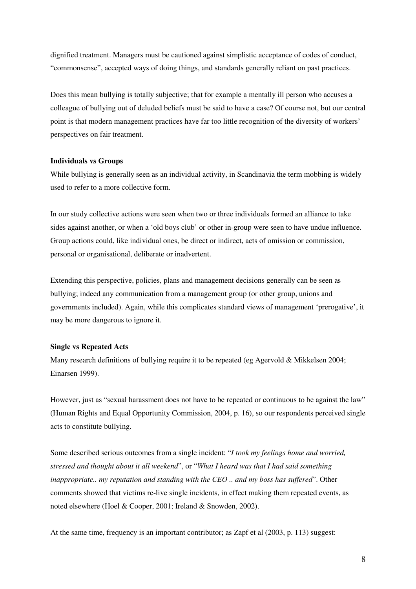dignified treatment. Managers must be cautioned against simplistic acceptance of codes of conduct, "commonsense", accepted ways of doing things, and standards generally reliant on past practices.

Does this mean bullying is totally subjective; that for example a mentally ill person who accuses a colleague of bullying out of deluded beliefs must be said to have a case? Of course not, but our central point is that modern management practices have far too little recognition of the diversity of workers' perspectives on fair treatment.

#### **Individuals vs Groups**

While bullying is generally seen as an individual activity, in Scandinavia the term mobbing is widely used to refer to a more collective form.

In our study collective actions were seen when two or three individuals formed an alliance to take sides against another, or when a 'old boys club' or other in-group were seen to have undue influence. Group actions could, like individual ones, be direct or indirect, acts of omission or commission, personal or organisational, deliberate or inadvertent.

Extending this perspective, policies, plans and management decisions generally can be seen as bullying; indeed any communication from a management group (or other group, unions and governments included). Again, while this complicates standard views of management 'prerogative', it may be more dangerous to ignore it.

#### **Single vs Repeated Acts**

Many research definitions of bullying require it to be repeated (eg Agervold & Mikkelsen 2004; Einarsen 1999).

However, just as "sexual harassment does not have to be repeated or continuous to be against the law" (Human Rights and Equal Opportunity Commission, 2004, p. 16), so our respondents perceived single acts to constitute bullying.

Some described serious outcomes from a single incident: "*I took my feelings home and worried, stressed and thought about it all weekend*", or "*What I heard was that I had said something inappropriate.. my reputation and standing with the CEO .. and my boss has suffered*". Other comments showed that victims re-live single incidents, in effect making them repeated events, as noted elsewhere (Hoel & Cooper, 2001; Ireland & Snowden, 2002).

At the same time, frequency is an important contributor; as Zapf et al (2003, p. 113) suggest: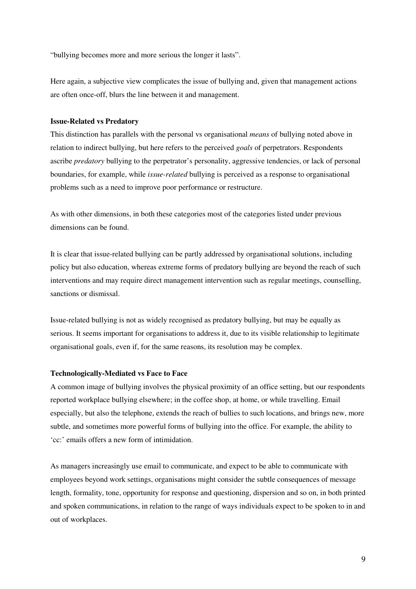"bullying becomes more and more serious the longer it lasts".

Here again, a subjective view complicates the issue of bullying and, given that management actions are often once-off, blurs the line between it and management.

#### **Issue-Related vs Predatory**

This distinction has parallels with the personal vs organisational *means* of bullying noted above in relation to indirect bullying, but here refers to the perceived *goals* of perpetrators. Respondents ascribe *predatory* bullying to the perpetrator's personality, aggressive tendencies, or lack of personal boundaries, for example, while *issue-related* bullying is perceived as a response to organisational problems such as a need to improve poor performance or restructure.

As with other dimensions, in both these categories most of the categories listed under previous dimensions can be found.

It is clear that issue-related bullying can be partly addressed by organisational solutions, including policy but also education, whereas extreme forms of predatory bullying are beyond the reach of such interventions and may require direct management intervention such as regular meetings, counselling, sanctions or dismissal.

Issue-related bullying is not as widely recognised as predatory bullying, but may be equally as serious. It seems important for organisations to address it, due to its visible relationship to legitimate organisational goals, even if, for the same reasons, its resolution may be complex.

## **Technologically-Mediated vs Face to Face**

A common image of bullying involves the physical proximity of an office setting, but our respondents reported workplace bullying elsewhere; in the coffee shop, at home, or while travelling. Email especially, but also the telephone, extends the reach of bullies to such locations, and brings new, more subtle, and sometimes more powerful forms of bullying into the office. For example, the ability to 'cc:' emails offers a new form of intimidation.

As managers increasingly use email to communicate, and expect to be able to communicate with employees beyond work settings, organisations might consider the subtle consequences of message length, formality, tone, opportunity for response and questioning, dispersion and so on, in both printed and spoken communications, in relation to the range of ways individuals expect to be spoken to in and out of workplaces.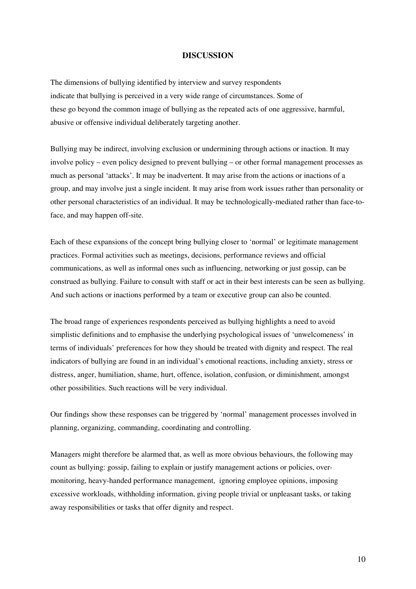## **DISCUSSION**

The dimensions of bullying identified by interview and survey respondents indicate that bullying is perceived in a very wide range of circumstances. Some of these go beyond the common image of bullying as the repeated acts of one aggressive, harmful, abusive or offensive individual deliberately targeting another.

Bullying may be indirect, involving exclusion or undermining through actions or inaction. It may involve policy – even policy designed to prevent bullying – or other formal management processes as much as personal 'attacks'. It may be inadvertent. It may arise from the actions or inactions of a group, and may involve just a single incident. It may arise from work issues rather than personality or other personal characteristics of an individual. It may be technologically-mediated rather than face-toface, and may happen off-site.

Each of these expansions of the concept bring bullying closer to 'normal' or legitimate management practices. Formal activities such as meetings, decisions, performance reviews and official communications, as well as informal ones such as influencing, networking or just gossip, can be construed as bullying. Failure to consult with staff or act in their best interests can be seen as bullying. And such actions or inactions performed by a team or executive group can also be counted.

The broad range of experiences respondents perceived as bullying highlights a need to avoid simplistic definitions and to emphasise the underlying psychological issues of 'unwelcomeness' in terms of individuals' preferences for how they should be treated with dignity and respect. The real indicators of bullying are found in an individual's emotional reactions, including anxiety, stress or distress, anger, humiliation, shame, hurt, offence, isolation, confusion, or diminishment, amongst other possibilities. Such reactions will be very individual.

Our findings show these responses can be triggered by 'normal' management processes involved in planning, organizing, commanding, coordinating and controlling.

Managers might therefore be alarmed that, as well as more obvious behaviours, the following may count as bullying: gossip, failing to explain or justify management actions or policies, overmonitoring, heavy-handed performance management, ignoring employee opinions, imposing excessive workloads, withholding information, giving people trivial or unpleasant tasks, or taking away responsibilities or tasks that offer dignity and respect.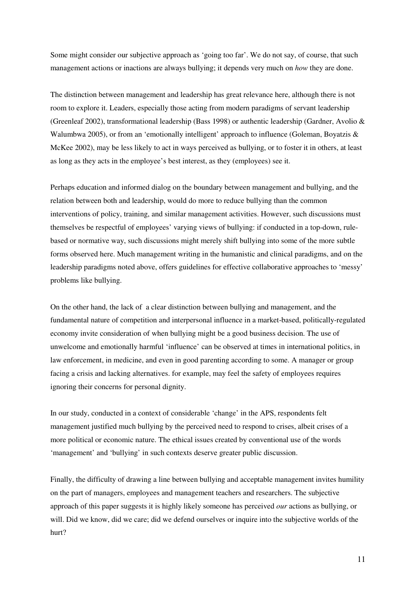Some might consider our subjective approach as 'going too far'. We do not say, of course, that such management actions or inactions are always bullying; it depends very much on *how* they are done.

The distinction between management and leadership has great relevance here, although there is not room to explore it. Leaders, especially those acting from modern paradigms of servant leadership (Greenleaf 2002), transformational leadership (Bass 1998) or authentic leadership (Gardner, Avolio & Walumbwa 2005), or from an 'emotionally intelligent' approach to influence (Goleman, Boyatzis & McKee 2002), may be less likely to act in ways perceived as bullying, or to foster it in others, at least as long as they acts in the employee's best interest, as they (employees) see it.

Perhaps education and informed dialog on the boundary between management and bullying, and the relation between both and leadership, would do more to reduce bullying than the common interventions of policy, training, and similar management activities. However, such discussions must themselves be respectful of employees' varying views of bullying: if conducted in a top-down, rulebased or normative way, such discussions might merely shift bullying into some of the more subtle forms observed here. Much management writing in the humanistic and clinical paradigms, and on the leadership paradigms noted above, offers guidelines for effective collaborative approaches to 'messy' problems like bullying.

On the other hand, the lack of a clear distinction between bullying and management, and the fundamental nature of competition and interpersonal influence in a market-based, politically-regulated economy invite consideration of when bullying might be a good business decision. The use of unwelcome and emotionally harmful 'influence' can be observed at times in international politics, in law enforcement, in medicine, and even in good parenting according to some. A manager or group facing a crisis and lacking alternatives. for example, may feel the safety of employees requires ignoring their concerns for personal dignity.

In our study, conducted in a context of considerable 'change' in the APS, respondents felt management justified much bullying by the perceived need to respond to crises, albeit crises of a more political or economic nature. The ethical issues created by conventional use of the words 'management' and 'bullying' in such contexts deserve greater public discussion.

Finally, the difficulty of drawing a line between bullying and acceptable management invites humility on the part of managers, employees and management teachers and researchers. The subjective approach of this paper suggests it is highly likely someone has perceived *our* actions as bullying, or will. Did we know, did we care; did we defend ourselves or inquire into the subjective worlds of the hurt?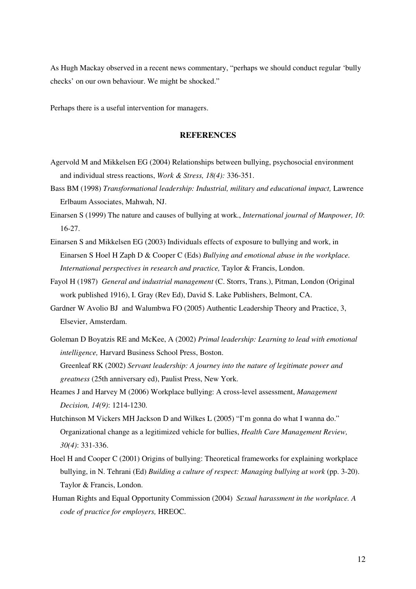As Hugh Mackay observed in a recent news commentary, "perhaps we should conduct regular 'bully checks' on our own behaviour. We might be shocked."

Perhaps there is a useful intervention for managers.

### **REFERENCES**

- Agervold M and Mikkelsen EG (2004) Relationships between bullying, psychosocial environment and individual stress reactions, *Work & Stress, 18(4):* 336-351.
- Bass BM (1998) *Transformational leadership: Industrial, military and educational impact,* Lawrence Erlbaum Associates, Mahwah, NJ.
- Einarsen S (1999) The nature and causes of bullying at work., *International journal of Manpower, 10*: 16-27.
- Einarsen S and Mikkelsen EG (2003) Individuals effects of exposure to bullying and work, in Einarsen S Hoel H Zaph D & Cooper C (Eds) *Bullying and emotional abuse in the workplace. International perspectives in research and practice,* Taylor & Francis, London.
- Fayol H (1987) *General and industrial management* (C. Storrs, Trans.), Pitman, London (Original work published 1916), I. Gray (Rev Ed), David S. Lake Publishers, Belmont, CA.
- Gardner W Avolio BJ and Walumbwa FO (2005) Authentic Leadership Theory and Practice, 3, Elsevier, Amsterdam.
- Goleman D Boyatzis RE and McKee, A (2002) *Primal leadership: Learning to lead with emotional intelligence,* Harvard Business School Press, Boston. Greenleaf RK (2002) *Servant leadership: A journey into the nature of legitimate power and greatness* (25th anniversary ed), Paulist Press, New York.
- Heames J and Harvey M (2006) Workplace bullying: A cross-level assessment, *Management Decision, 14(9)*: 1214-1230.
- Hutchinson M Vickers MH Jackson D and Wilkes L (2005) "I'm gonna do what I wanna do." Organizational change as a legitimized vehicle for bullies, *Health Care Management Review, 30(4)*: 331-336.
- Hoel H and Cooper C (2001) Origins of bullying: Theoretical frameworks for explaining workplace bullying, in N. Tehrani (Ed) *Building a culture of respect: Managing bullying at work* (pp. 3-20). Taylor & Francis, London.
- Human Rights and Equal Opportunity Commission (2004) *Sexual harassment in the workplace. A code of practice for employers,* HREOC.